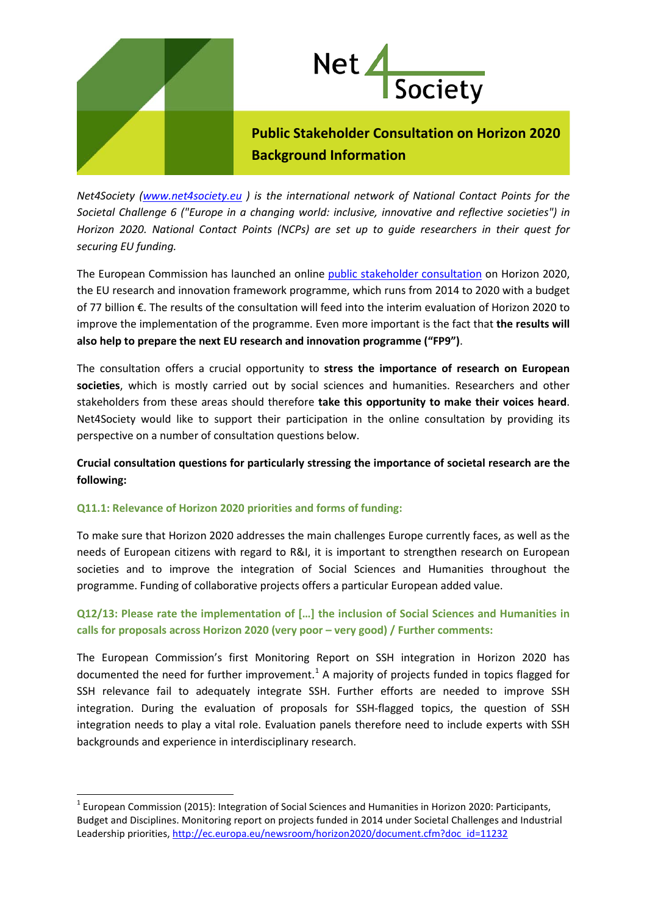



**Public Stakeholder Consultation on Horizon 2020 Background Information**

*Net4Society [\(www.net4society.eu](http://www.net4society.eu/) ) is the international network of National Contact Points for the Societal Challenge 6 ("Europe in a changing world: inclusive, innovative and reflective societies") in Horizon 2020. National Contact Points (NCPs) are set up to guide researchers in their quest for securing EU funding.*

The European Commission has launched an online [public stakeholder consultation](http://ec.europa.eu/research/consultations/interim_h2020_2016/consultation_en.htm) on Horizon 2020, the EU research and innovation framework programme, which runs from 2014 to 2020 with a budget of 77 billion €. The results of the consultation will feed into the interim evaluation of Horizon 2020 to improve the implementation of the programme. Even more important is the fact that **the results will also help to prepare the next EU research and innovation programme ("FP9")**.

The consultation offers a crucial opportunity to **stress the importance of research on European societies**, which is mostly carried out by social sciences and humanities. Researchers and other stakeholders from these areas should therefore **take this opportunity to make their voices heard**. Net4Society would like to support their participation in the online consultation by providing its perspective on a number of consultation questions below.

**Crucial consultation questions for particularly stressing the importance of societal research are the following:**

# **Q11.1: Relevance of Horizon 2020 priorities and forms of funding:**

To make sure that Horizon 2020 addresses the main challenges Europe currently faces, as well as the needs of European citizens with regard to R&I, it is important to strengthen research on European societies and to improve the integration of Social Sciences and Humanities throughout the programme. Funding of collaborative projects offers a particular European added value.

# **Q12/13: Please rate the implementation of […] the inclusion of Social Sciences and Humanities in calls for proposals across Horizon 2020 (very poor – very good) / Further comments:**

The European Commission's first Monitoring Report on SSH integration in Horizon 2020 has documented the need for further improvement.<sup>[1](#page-0-0)</sup> A majority of projects funded in topics flagged for SSH relevance fail to adequately integrate SSH. Further efforts are needed to improve SSH integration. During the evaluation of proposals for SSH-flagged topics, the question of SSH integration needs to play a vital role. Evaluation panels therefore need to include experts with SSH backgrounds and experience in interdisciplinary research.

<span id="page-0-0"></span> $1$  European Commission (2015): Integration of Social Sciences and Humanities in Horizon 2020: Participants, Budget and Disciplines. Monitoring report on projects funded in 2014 under Societal Challenges and Industrial Leadership priorities, [http://ec.europa.eu/newsroom/horizon2020/document.cfm?doc\\_id=11232](http://ec.europa.eu/newsroom/horizon2020/document.cfm?doc_id=11232)